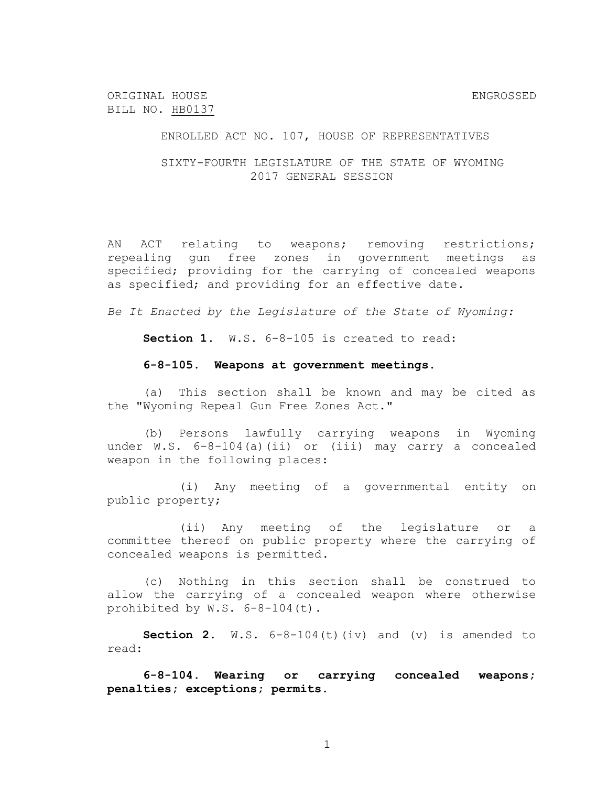ORIGINAL HOUSE ENGROSSED BILL NO. HB0137

ENROLLED ACT NO. 107, HOUSE OF REPRESENTATIVES

SIXTY-FOURTH LEGISLATURE OF THE STATE OF WYOMING 2017 GENERAL SESSION

AN ACT relating to weapons; removing restrictions; repealing gun free zones in government meetings as specified; providing for the carrying of concealed weapons as specified; and providing for an effective date.

*Be It Enacted by the Legislature of the State of Wyoming:*

**Section 1.** W.S. 6-8-105 is created to read:

## **6-8-105. Weapons at government meetings.**

(a) This section shall be known and may be cited as the "Wyoming Repeal Gun Free Zones Act."

(b) Persons lawfully carrying weapons in Wyoming under W.S. 6-8-104(a)(ii) or (iii) may carry a concealed weapon in the following places:

(i) Any meeting of a governmental entity on public property;

(ii) Any meeting of the legislature or a committee thereof on public property where the carrying of concealed weapons is permitted.

(c) Nothing in this section shall be construed to allow the carrying of a concealed weapon where otherwise prohibited by W.S. 6-8-104(t).

**Section 2.**  $W.S. 6-8-104(t)(iv)$  and  $(v)$  is amended to read:

**6-8-104. Wearing or carrying concealed weapons; penalties; exceptions; permits.**

1